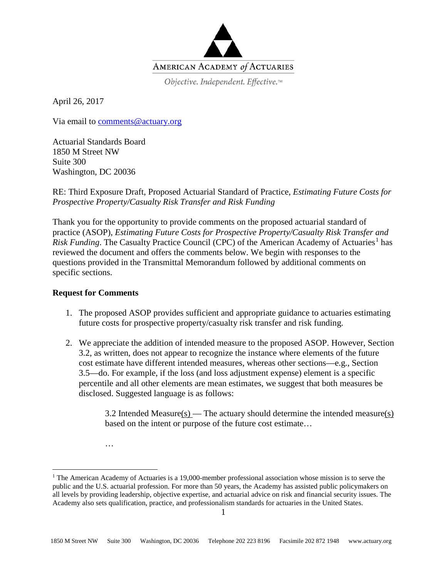

Objective. Independent. Effective.™

April 26, 2017

Via email to [comments@actuary.org](mailto:comments@actuary.org)

Actuarial Standards Board 1850 M Street NW Suite 300 Washington, DC 20036

RE: Third Exposure Draft, Proposed Actuarial Standard of Practice, *Estimating Future Costs for Prospective Property/Casualty Risk Transfer and Risk Funding*

Thank you for the opportunity to provide comments on the proposed actuarial standard of practice (ASOP), *Estimating Future Costs for Prospective Property/Casualty Risk Transfer and Risk Funding*. The Casualty Practice Council (CPC) of the American Academy of Actuaries<sup>[1](#page-0-0)</sup> has reviewed the document and offers the comments below. We begin with responses to the questions provided in the Transmittal Memorandum followed by additional comments on specific sections.

## **Request for Comments**

…

- 1. The proposed ASOP provides sufficient and appropriate guidance to actuaries estimating future costs for prospective property/casualty risk transfer and risk funding.
- 2. We appreciate the addition of intended measure to the proposed ASOP. However, Section 3.2, as written, does not appear to recognize the instance where elements of the future cost estimate have different intended measures, whereas other sections—e.g., Section 3.5—do. For example, if the loss (and loss adjustment expense) element is a specific percentile and all other elements are mean estimates, we suggest that both measures be disclosed. Suggested language is as follows:

3.2 Intended Measure(s) — The actuary should determine the intended measure(s) based on the intent or purpose of the future cost estimate…

<span id="page-0-0"></span><sup>&</sup>lt;sup>1</sup> The American Academy of Actuaries is a 19,000-member professional association whose mission is to serve the public and the U.S. actuarial profession. For more than 50 years, the Academy has assisted public policymakers on all levels by providing leadership, objective expertise, and actuarial advice on risk and financial security issues. The Academy also sets qualification, practice, and professionalism standards for actuaries in the United States.